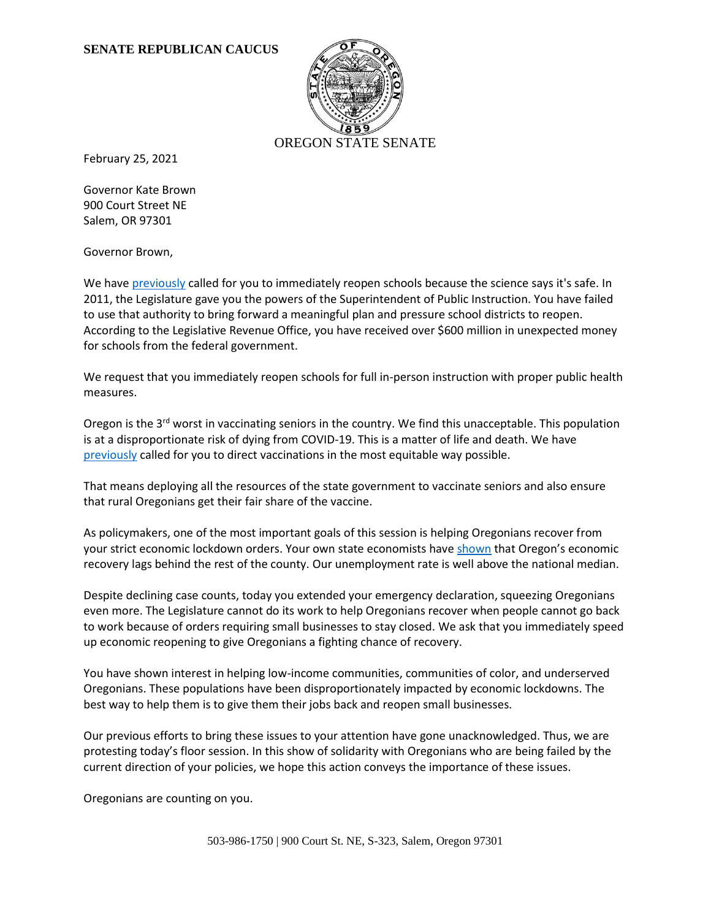## **SENATE REPUBLICAN CAUCUS**



February 25, 2021

Governor Kate Brown 900 Court Street NE Salem, OR 97301

Governor Brown,

We hav[e previously](https://www.oregonlegislature.gov/senaterepublicans/Documents/No%20Excuses%20for%20the%20Governor%20on%20School%20Reopenings.pdf) called for you to immediately reopen schools because the science says it's safe. In 2011, the Legislature gave you the powers of the Superintendent of Public Instruction. You have failed to use that authority to bring forward a meaningful plan and pressure school districts to reopen. According to the Legislative Revenue Office, you have received over \$600 million in unexpected money for schools from the federal government.

We request that you immediately reopen schools for full in-person instruction with proper public health measures.

Oregon is the  $3<sup>rd</sup>$  worst in vaccinating seniors in the country. We find this unacceptable. This population is at a disproportionate risk of dying from COVID-19. This is a matter of life and death. We have [previously](https://www.oregonlegislature.gov/senaterepublicans/Documents/No%20Excuses%20for%20the%20Governor%20on%20School%20Reopenings.pdf) called for you to direct vaccinations in the most equitable way possible.

That means deploying all the resources of the state government to vaccinate seniors and also ensure that rural Oregonians get their fair share of the vaccine.

As policymakers, one of the most important goals of this session is helping Oregonians recover from your strict economic lockdown orders. Your own state economists hav[e shown](https://www.qualityinfo.org/documents/10182/73818/Employment+in+Oregon?version=1.89) that Oregon's economic recovery lags behind the rest of the county. Our unemployment rate is well above the national median.

Despite declining case counts, today you extended your emergency declaration, squeezing Oregonians even more. The Legislature cannot do its work to help Oregonians recover when people cannot go back to work because of orders requiring small businesses to stay closed. We ask that you immediately speed up economic reopening to give Oregonians a fighting chance of recovery.

You have shown interest in helping low-income communities, communities of color, and underserved Oregonians. These populations have been disproportionately impacted by economic lockdowns. The best way to help them is to give them their jobs back and reopen small businesses.

Our previous efforts to bring these issues to your attention have gone unacknowledged. Thus, we are protesting today's floor session. In this show of solidarity with Oregonians who are being failed by the current direction of your policies, we hope this action conveys the importance of these issues.

Oregonians are counting on you.